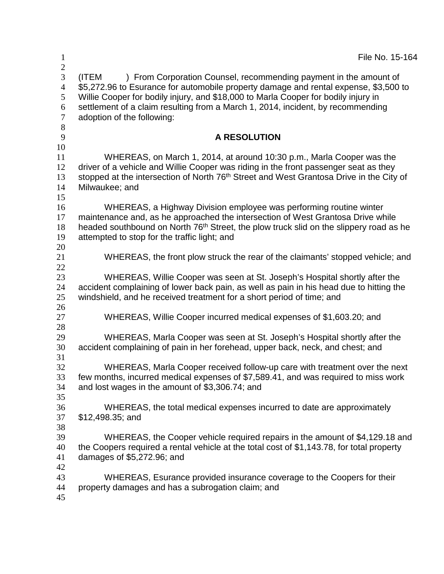| $\mathbf{1}$                                                   | File No. 15-164                                                                                                                                                                                                                                                                                                                                                           |
|----------------------------------------------------------------|---------------------------------------------------------------------------------------------------------------------------------------------------------------------------------------------------------------------------------------------------------------------------------------------------------------------------------------------------------------------------|
| $\overline{2}$<br>3<br>$\overline{4}$<br>5<br>6<br>$\tau$<br>8 | ) From Corporation Counsel, recommending payment in the amount of<br>(ITEM<br>\$5,272.96 to Esurance for automobile property damage and rental expense, \$3,500 to<br>Willie Cooper for bodily injury, and \$18,000 to Marla Cooper for bodily injury in<br>settlement of a claim resulting from a March 1, 2014, incident, by recommending<br>adoption of the following: |
| 9                                                              | <b>A RESOLUTION</b>                                                                                                                                                                                                                                                                                                                                                       |
| 10<br>11<br>12<br>13<br>14<br>15                               | WHEREAS, on March 1, 2014, at around 10:30 p.m., Marla Cooper was the<br>driver of a vehicle and Willie Cooper was riding in the front passenger seat as they<br>stopped at the intersection of North 76 <sup>th</sup> Street and West Grantosa Drive in the City of<br>Milwaukee; and                                                                                    |
| 16<br>17<br>18<br>19<br>20                                     | WHEREAS, a Highway Division employee was performing routine winter<br>maintenance and, as he approached the intersection of West Grantosa Drive while<br>headed southbound on North 76 <sup>th</sup> Street, the plow truck slid on the slippery road as he<br>attempted to stop for the traffic light; and                                                               |
| 21                                                             | WHEREAS, the front plow struck the rear of the claimants' stopped vehicle; and                                                                                                                                                                                                                                                                                            |
| 22<br>23<br>24<br>25                                           | WHEREAS, Willie Cooper was seen at St. Joseph's Hospital shortly after the<br>accident complaining of lower back pain, as well as pain in his head due to hitting the<br>windshield, and he received treatment for a short period of time; and                                                                                                                            |
| 26<br>27                                                       | WHEREAS, Willie Cooper incurred medical expenses of \$1,603.20; and                                                                                                                                                                                                                                                                                                       |
| 28<br>29<br>30<br>31                                           | WHEREAS, Marla Cooper was seen at St. Joseph's Hospital shortly after the<br>accident complaining of pain in her forehead, upper back, neck, and chest; and                                                                                                                                                                                                               |
| 32<br>33<br>34<br>35                                           | WHEREAS, Marla Cooper received follow-up care with treatment over the next<br>few months, incurred medical expenses of \$7,589.41, and was required to miss work<br>and lost wages in the amount of \$3,306.74; and                                                                                                                                                       |
| 36<br>37<br>38                                                 | WHEREAS, the total medical expenses incurred to date are approximately<br>$$12,498.35$ ; and                                                                                                                                                                                                                                                                              |
| 39<br>40<br>41                                                 | WHEREAS, the Cooper vehicle required repairs in the amount of \$4,129.18 and<br>the Coopers required a rental vehicle at the total cost of \$1,143.78, for total property<br>damages of \$5,272.96; and                                                                                                                                                                   |
| 42<br>43<br>44<br>45                                           | WHEREAS, Esurance provided insurance coverage to the Coopers for their<br>property damages and has a subrogation claim; and                                                                                                                                                                                                                                               |